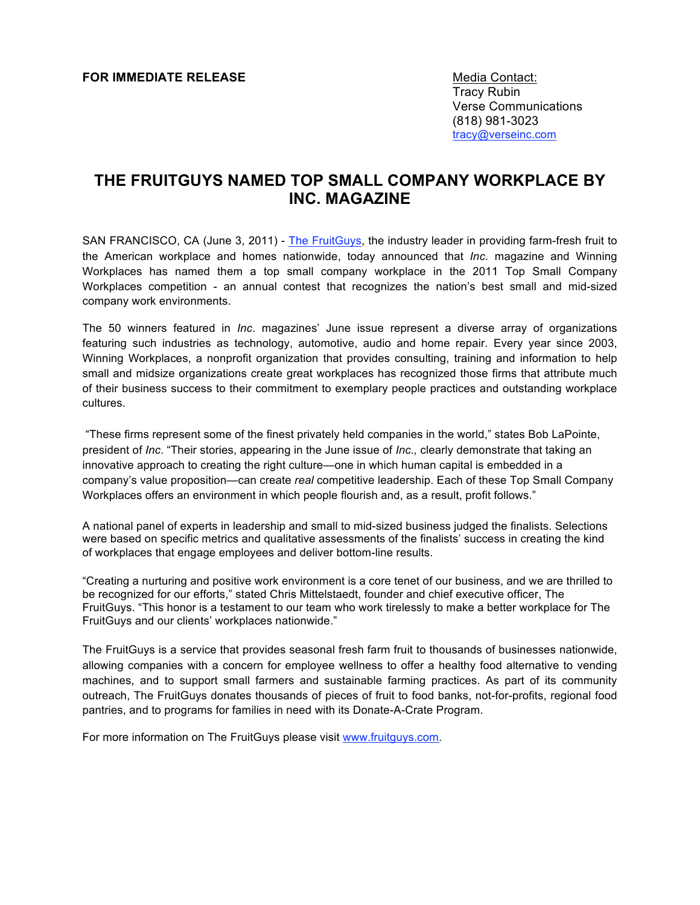## **FOR IMMEDIATE RELEASE Media Contact:** Media Contact:

Tracy Rubin Verse Communications (818) 981-3023 tracy@verseinc.com

# **THE FRUITGUYS NAMED TOP SMALL COMPANY WORKPLACE BY INC. MAGAZINE**

SAN FRANCISCO, CA (June 3, 2011) - The FruitGuys, the industry leader in providing farm-fresh fruit to the American workplace and homes nationwide, today announced that *Inc*. magazine and Winning Workplaces has named them a top small company workplace in the 2011 Top Small Company Workplaces competition - an annual contest that recognizes the nation's best small and mid-sized company work environments.

The 50 winners featured in *Inc*. magazines' June issue represent a diverse array of organizations featuring such industries as technology, automotive, audio and home repair. Every year since 2003, Winning Workplaces, a nonprofit organization that provides consulting, training and information to help small and midsize organizations create great workplaces has recognized those firms that attribute much of their business success to their commitment to exemplary people practices and outstanding workplace cultures.

"These firms represent some of the finest privately held companies in the world," states Bob LaPointe, president of *Inc*. "Their stories, appearing in the June issue of *Inc.,* clearly demonstrate that taking an innovative approach to creating the right culture—one in which human capital is embedded in a company's value proposition—can create *real* competitive leadership. Each of these Top Small Company Workplaces offers an environment in which people flourish and, as a result, profit follows."

A national panel of experts in leadership and small to mid-sized business judged the finalists. Selections were based on specific metrics and qualitative assessments of the finalists' success in creating the kind of workplaces that engage employees and deliver bottom-line results.

"Creating a nurturing and positive work environment is a core tenet of our business, and we are thrilled to be recognized for our efforts," stated Chris Mittelstaedt, founder and chief executive officer, The FruitGuys. "This honor is a testament to our team who work tirelessly to make a better workplace for The FruitGuys and our clients' workplaces nationwide."

The FruitGuys is a service that provides seasonal fresh farm fruit to thousands of businesses nationwide, allowing companies with a concern for employee wellness to offer a healthy food alternative to vending machines, and to support small farmers and sustainable farming practices. As part of its community outreach, The FruitGuys donates thousands of pieces of fruit to food banks, not-for-profits, regional food pantries, and to programs for families in need with its Donate-A-Crate Program.

For more information on The FruitGuys please visit www.fruitguys.com.